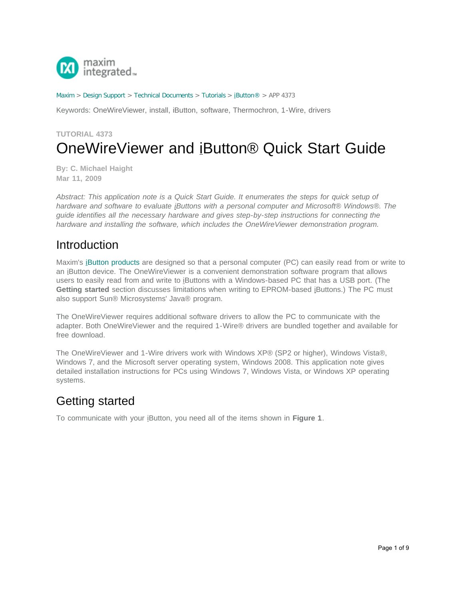

#### [Maxim](http://www.maximintegrated.com/) > [Design Support](http://www.maximintegrated.com/design/) > [Technical Documents](http://www.maximintegrated.com/design/techdocs/) > [Tutorials](http://www.maximintegrated.com/design/techdocs/tutorials/index.mvp) > [iButton®](http://www.maximintegrated.com/design/techdocs/tutorials/index.mvp/id/65/c/iButton%26reg%3B#c65) > APP 4373

Keywords: OneWireViewer, install, iButton, software, Thermochron, 1-Wire, drivers

# **TUTORIAL 4373** OneWireViewer and iButton® Quick Start Guide

**By: C. Michael Haight Mar 11, 2009**

*Abstract: This application note is a Quick Start Guide. It enumerates the steps for quick setup of hardware and software to evaluate iButtons with a personal computer and Microsoft® Windows®. The guide identifies all the necessary hardware and gives step-by-step instructions for connecting the hardware and installing the software, which includes the OneWireViewer demonstration program.*

## Introduction

Maxim's [iButton products](http://www.maximintegrated.com/products/ibutton) are designed so that a personal computer (PC) can easily read from or write to an iButton device. The OneWireViewer is a convenient demonstration software program that allows users to easily read from and write to iButtons with a Windows-based PC that has a USB port. (The **Getting started** section discusses limitations when writing to EPROM-based iButtons.) The PC must also support Sun® Microsystems' Java® program.

The OneWireViewer requires additional software drivers to allow the PC to communicate with the adapter. Both OneWireViewer and the required 1-Wire® drivers are bundled together and available for free download.

The OneWireViewer and 1-Wire drivers work with Windows XP® (SP2 or higher), Windows Vista®, Windows 7, and the Microsoft server operating system, Windows 2008. This application note gives detailed installation instructions for PCs using Windows 7, Windows Vista, or Windows XP operating systems.

## Getting started

To communicate with your iButton, you need all of the items shown in **Figure 1**.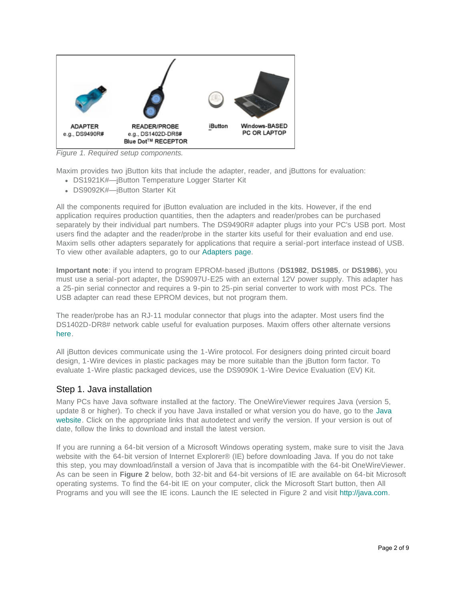

*Figure 1. Required setup components.*

Maxim provides two iButton kits that include the adapter, reader, and iButtons for evaluation:

- DS1921K#-iButton Temperature Logger Starter Kit
- DS9092K#—iButton Starter Kit

All the components required for iButton evaluation are included in the kits. However, if the end application requires production quantities, then the adapters and reader/probes can be purchased separately by their individual part numbers. The DS9490R# adapter plugs into your PC's USB port. Most users find the adapter and the reader/probe in the starter kits useful for their evaluation and end use. Maxim sells other adapters separately for applications that require a serial-port interface instead of USB. To view other available adapters, go to our [Adapters page.](http://www.maximintegrated.com/products/ibutton/products/adapters.cfm)

**Important note**: if you intend to program EPROM-based iButtons (**DS1982**, **DS1985**, or **DS1986**), you must use a serial-port adapter, the DS9097U-E25 with an external 12V power supply. This adapter has a 25-pin serial connector and requires a 9-pin to 25-pin serial converter to work with most PCs. The USB adapter can read these EPROM devices, but not program them.

The reader/probe has an RJ-11 modular connector that plugs into the adapter. Most users find the DS1402D-DR8# network cable useful for evaluation purposes. Maxim offers other alternate versions [here](http://www.maximintegrated.com/products/ibutton/products/readers_probes_ports.cfm).

All iButton devices communicate using the 1-Wire protocol. For designers doing printed circuit board design, 1-Wire devices in plastic packages may be more suitable than the iButton form factor. To evaluate 1-Wire plastic packaged devices, use the DS9090K 1-Wire Device Evaluation (EV) Kit.

#### Step 1. Java installation

Many PCs have Java software installed at the factory. The OneWireViewer requires Java (version 5, update 8 or higher). To check if you have Java installed or what version you do have, go to the [Java](http://java.com/) [website](http://java.com/). Click on the appropriate links that autodetect and verify the version. If your version is out of date, follow the links to download and install the latest version.

If you are running a 64-bit version of a Microsoft Windows operating system, make sure to visit the Java website with the 64-bit version of Internet Explorer® (IE) before downloading Java. If you do not take this step, you may download/install a version of Java that is incompatible with the 64-bit OneWireViewer. As can be seen in **Figure 2** below, both 32-bit and 64-bit versions of IE are available on 64-bit Microsoft operating systems. To find the 64-bit IE on your computer, click the Microsoft Start button, then All Programs and you will see the IE icons. Launch the IE selected in Figure 2 and visit [http://java.com.](http://java.com/)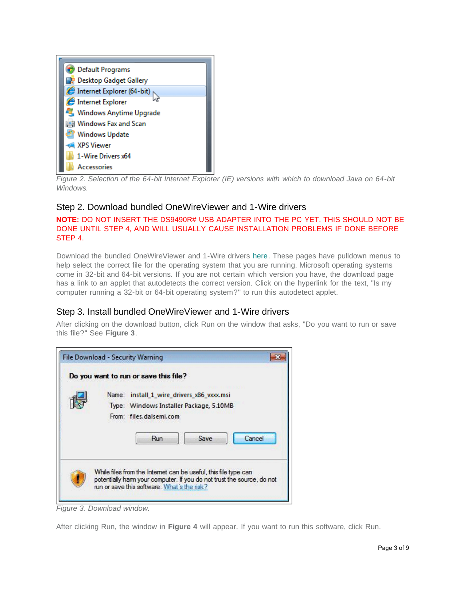

*Figure 2. Selection of the 64-bit Internet Explorer (IE) versions with which to download Java on 64-bit Windows.*

### Step 2. Download bundled OneWireViewer and 1-Wire drivers

#### **NOTE:** DO NOT INSERT THE DS9490R# USB ADAPTER INTO THE PC YET. THIS SHOULD NOT BE DONE UNTIL STEP 4, AND WILL USUALLY CAUSE INSTALLATION PROBLEMS IF DONE BEFORE STEP 4.

Download the bundled OneWireViewer and 1-Wire drivers [here.](http://www.maximintegrated.com/1-Wiredrivers) These pages have pulldown menus to help select the correct file for the operating system that you are running. Microsoft operating systems come in 32-bit and 64-bit versions. If you are not certain which version you have, the download page has a link to an applet that autodetects the correct version. Click on the hyperlink for the text, "Is my computer running a 32-bit or 64-bit operating system?" to run this autodetect applet.

### Step 3. Install bundled OneWireViewer and 1-Wire drivers

After clicking on the download button, click Run on the window that asks, "Do you want to run or save this file?" See **Figure 3**.

| Do you want to run or save this file?                                                                                     |                                                                        |
|---------------------------------------------------------------------------------------------------------------------------|------------------------------------------------------------------------|
| install 1 wire drivers x86 vxxx.msi<br>Name:<br>Type: Windows Installer Package, 5.10MB<br>From: files.dalsemi.com<br>Run | Save<br>Cancel                                                         |
| While files from the Internet can be useful, this file type can<br>run or save this software. What's the risk?            | potentially harm your computer. If you do not trust the source, do not |

*Figure 3. Download window.*

After clicking Run, the window in **Figure 4** will appear. If you want to run this software, click Run.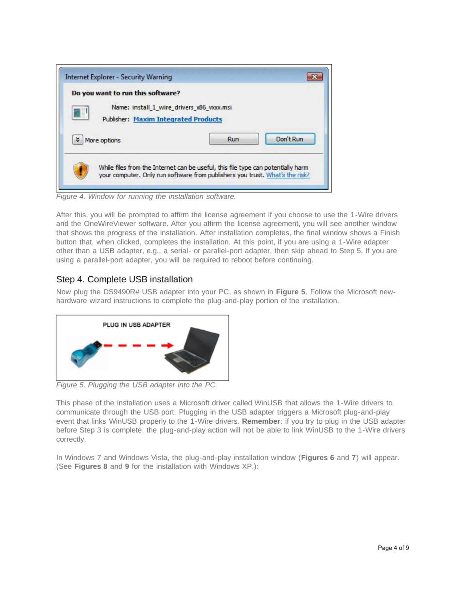| Do you want to run this software?                                                |                                           |           |
|----------------------------------------------------------------------------------|-------------------------------------------|-----------|
| H<br><b>Publisher: Maxim Integrated Products</b>                                 | Name: install 1 wire drivers x86 vxxx.msi |           |
| ×<br>More options                                                                | Run                                       | Don't Run |
| While files from the Internet can be useful, this file type can potentially harm |                                           |           |

*Figure 4. Window for running the installation software.*

After this, you will be prompted to affirm the license agreement if you choose to use the 1-Wire drivers and the OneWireViewer software. After you affirm the license agreement, you will see another window that shows the progress of the installation. After installation completes, the final window shows a Finish button that, when clicked, completes the installation. At this point, if you are using a 1-Wire adapter other than a USB adapter, e.g., a serial- or parallel-port adapter, then skip ahead to Step 5. If you are using a parallel-port adapter, you will be required to reboot before continuing.

### Step 4. Complete USB installation

Now plug the DS9490R# USB adapter into your PC, as shown in **Figure 5**. Follow the Microsoft newhardware wizard instructions to complete the plug-and-play portion of the installation.



*Figure 5. Plugging the USB adapter into the PC.*

This phase of the installation uses a Microsoft driver called WinUSB that allows the 1-Wire drivers to communicate through the USB port. Plugging in the USB adapter triggers a Microsoft plug-and-play event that links WinUSB properly to the 1-Wire drivers. **Remember**: if you try to plug in the USB adapter before Step 3 is complete, the plug-and-play action will not be able to link WinUSB to the 1-Wire drivers correctly.

In Windows 7 and Windows Vista, the plug-and-play installation window (**Figures 6** and **7**) will appear. (See **Figures 8** and **9** for the installation with Windows XP.):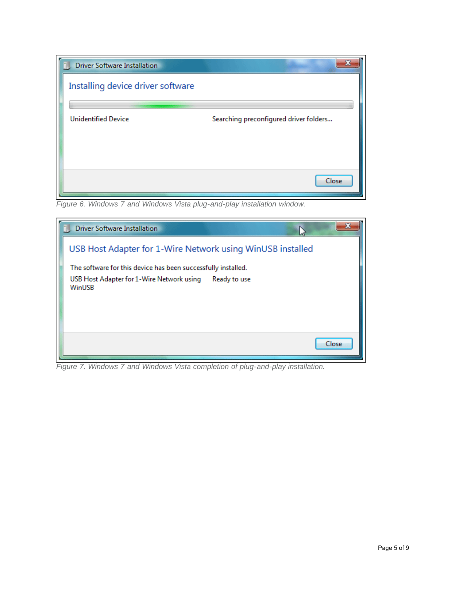| <b>Driver Software Installation</b> |                                        |
|-------------------------------------|----------------------------------------|
| Installing device driver software   |                                        |
| <b>Unidentified Device</b>          | Searching preconfigured driver folders |
|                                     | Close                                  |

*Figure 6. Windows 7 and Windows Vista plug-and-play installation window.*

| <b>Driver Software Installation</b>                                 |       |
|---------------------------------------------------------------------|-------|
| USB Host Adapter for 1-Wire Network using WinUSB installed          |       |
| The software for this device has been successfully installed.       |       |
| USB Host Adapter for 1-Wire Network using<br>Ready to use<br>WinUSB |       |
|                                                                     | Close |

*Figure 7. Windows 7 and Windows Vista completion of plug-and-play installation.*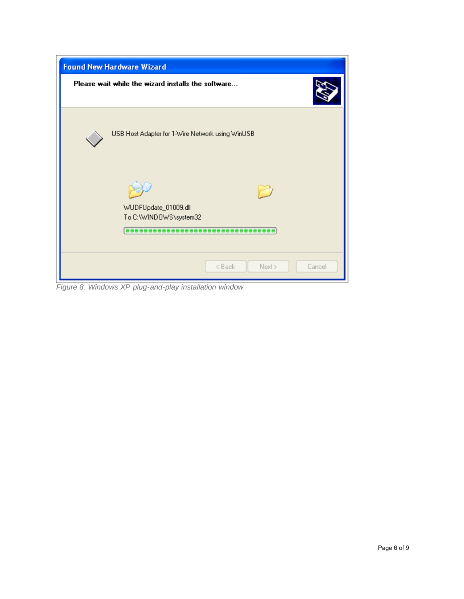| <b>Found New Hardware Wizard</b>                                  |  |  |
|-------------------------------------------------------------------|--|--|
| Please wait while the wizard installs the software                |  |  |
| USB Host Adapter for 1-Wire Network using WinUSB                  |  |  |
| WUDFUpdate_01009.dll<br>To C:\WINDOWS\system32<br>.<br>---------- |  |  |
| < Back<br>Next ><br>Cancel                                        |  |  |

*Figure 8. Windows XP plug-and-play installation window.*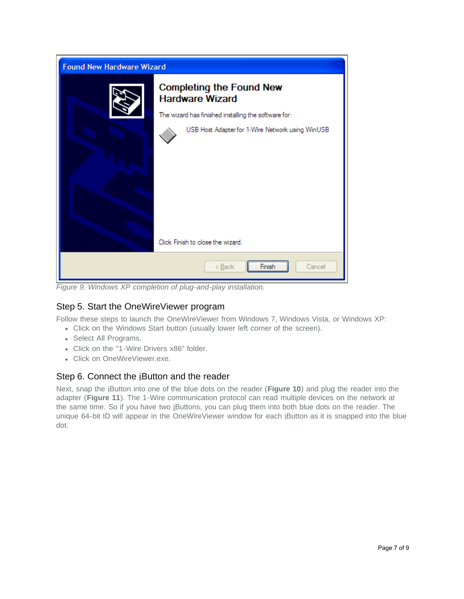| <b>Found New Hardware Wizard</b> |                                                                                                          |  |
|----------------------------------|----------------------------------------------------------------------------------------------------------|--|
|                                  | <b>Completing the Found New</b><br><b>Hardware Wizard</b>                                                |  |
|                                  | The wizard has finished installing the software for:<br>USB Host Adapter for 1-Wire Network using WinUSB |  |
|                                  | Click Finish to close the wizard.                                                                        |  |
|                                  | Cancel<br>$<$ Back<br>Finish                                                                             |  |

*Figure 9. Windows XP completion of plug-and-play installation.*

### Step 5. Start the OneWireViewer program

Follow these steps to launch the OneWireViewer from Windows 7, Windows Vista, or Windows XP:

- Click on the Windows Start button (usually lower left corner of the screen).
- Select All Programs.
- Click on the "1-Wire Drivers x86" folder.
- Click on OneWireViewer.exe.

#### Step 6. Connect the iButton and the reader

Next, snap the iButton into one of the blue dots on the reader (**Figure 10**) and plug the reader into the adapter (**Figure 11**). The 1-Wire communication protocol can read multiple devices on the network at the same time. So if you have two iButtons, you can plug them into both blue dots on the reader. The unique 64-bit ID will appear in the OneWireViewer window for each iButton as it is snapped into the blue dot.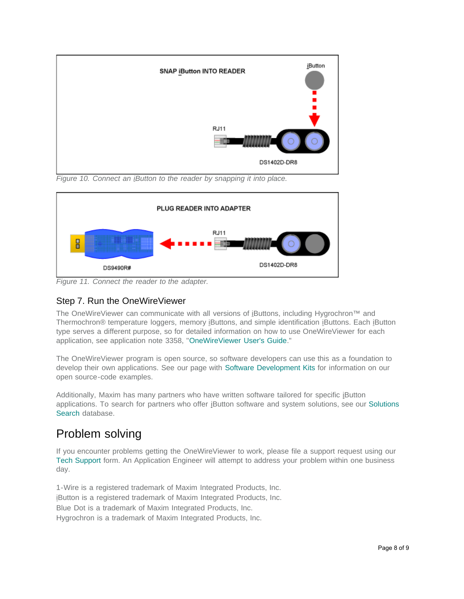

*Figure 10. Connect an iButton to the reader by snapping it into place.*



*Figure 11. Connect the reader to the adapter.*

## Step 7. Run the OneWireViewer

The OneWireViewer can communicate with all versions of iButtons, including Hygrochron™ and Thermochron® temperature loggers, memory iButtons, and simple identification iButtons. Each iButton type serves a different purpose, so for detailed information on how to use OneWireViewer for each application, see application note 3358, "[OneWireViewer User's Guide.](http://www.maximintegrated.com/an3358)"

The OneWireViewer program is open source, so software developers can use this as a foundation to develop their own applications. See our page with [Software Development Kits](http://www.maximintegrated.com/products/ibutton/software/sdk/sdks.cfm) for information on our open source-code examples.

Additionally, Maxim has many partners who have written software tailored for specific iButton applications. To search for partners who offer iButton software and system solutions, see our [Solutions](http://www.maximintegrated.com/products/ibutton/solutions/search.cfm) [Search](http://www.maximintegrated.com/products/ibutton/solutions/search.cfm) database.

# Problem solving

If you encounter problems getting the OneWireViewer to work, please file a support request using our [Tech Support](http://support.maximintegrated.com/ibutton) form. An Application Engineer will attempt to address your problem within one business day.

1-Wire is a registered trademark of Maxim Integrated Products, Inc. iButton is a registered trademark of Maxim Integrated Products, Inc. Blue Dot is a trademark of Maxim Integrated Products, Inc. Hygrochron is a trademark of Maxim Integrated Products, Inc.